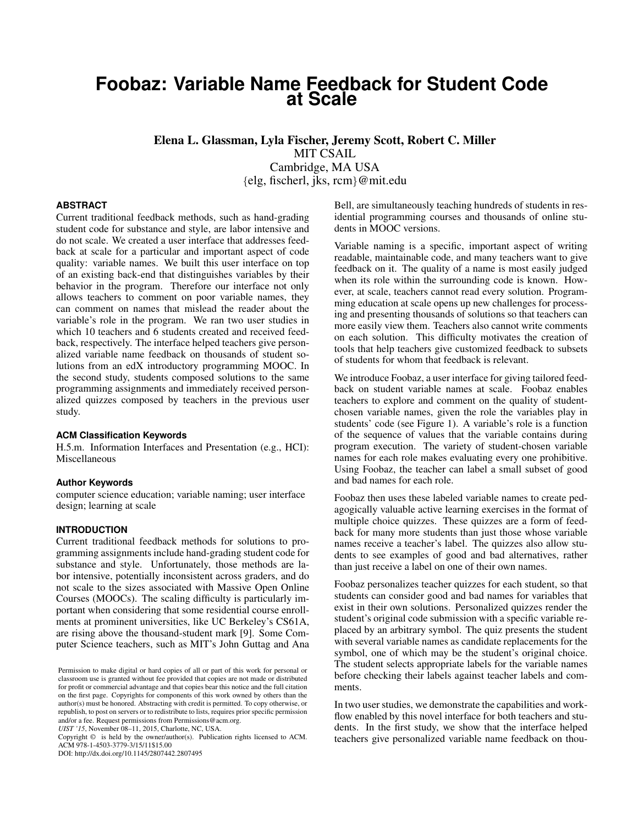# **Foobaz: Variable Name Feedback for Student Code at Scale**

Elena L. Glassman, Lyla Fischer, Jeremy Scott, Robert C. Miller MIT CSAIL Cambridge, MA USA {elg, fischerl, jks, rcm}@mit.edu

# **ABSTRACT**

Current traditional feedback methods, such as hand-grading student code for substance and style, are labor intensive and do not scale. We created a user interface that addresses feedback at scale for a particular and important aspect of code quality: variable names. We built this user interface on top of an existing back-end that distinguishes variables by their behavior in the program. Therefore our interface not only allows teachers to comment on poor variable names, they can comment on names that mislead the reader about the variable's role in the program. We ran two user studies in which 10 teachers and 6 students created and received feedback, respectively. The interface helped teachers give personalized variable name feedback on thousands of student solutions from an edX introductory programming MOOC. In the second study, students composed solutions to the same programming assignments and immediately received personalized quizzes composed by teachers in the previous user study.

#### **ACM Classification Keywords**

H.5.m. Information Interfaces and Presentation (e.g., HCI): Miscellaneous

#### **Author Keywords**

computer science education; variable naming; user interface design; learning at scale

## **INTRODUCTION**

Current traditional feedback methods for solutions to programming assignments include hand-grading student code for substance and style. Unfortunately, those methods are labor intensive, potentially inconsistent across graders, and do not scale to the sizes associated with Massive Open Online Courses (MOOCs). The scaling difficulty is particularly important when considering that some residential course enrollments at prominent universities, like UC Berkeley's CS61A, are rising above the thousand-student mark [\[9\]](#page-8-0). Some Computer Science teachers, such as MIT's John Guttag and Ana

*UIST '15*, November 08–11, 2015, Charlotte, NC, USA.

Copyright © is held by the owner/author(s). Publication rights licensed to ACM. ACM 978-1-4503-3779-3/15/11\$15.00

DOI: http://dx.doi.org/10.1145/2807442.2807495

Bell, are simultaneously teaching hundreds of students in residential programming courses and thousands of online students in MOOC versions.

Variable naming is a specific, important aspect of writing readable, maintainable code, and many teachers want to give feedback on it. The quality of a name is most easily judged when its role within the surrounding code is known. However, at scale, teachers cannot read every solution. Programming education at scale opens up new challenges for processing and presenting thousands of solutions so that teachers can more easily view them. Teachers also cannot write comments on each solution. This difficulty motivates the creation of tools that help teachers give customized feedback to subsets of students for whom that feedback is relevant.

We introduce Foobaz, a user interface for giving tailored feedback on student variable names at scale. Foobaz enables teachers to explore and comment on the quality of studentchosen variable names, given the role the variables play in students' code (see Figure [1\)](#page-1-0). A variable's role is a function of the sequence of values that the variable contains during program execution. The variety of student-chosen variable names for each role makes evaluating every one prohibitive. Using Foobaz, the teacher can label a small subset of good and bad names for each role.

Foobaz then uses these labeled variable names to create pedagogically valuable active learning exercises in the format of multiple choice quizzes. These quizzes are a form of feedback for many more students than just those whose variable names receive a teacher's label. The quizzes also allow students to see examples of good and bad alternatives, rather than just receive a label on one of their own names.

Foobaz personalizes teacher quizzes for each student, so that students can consider good and bad names for variables that exist in their own solutions. Personalized quizzes render the student's original code submission with a specific variable replaced by an arbitrary symbol. The quiz presents the student with several variable names as candidate replacements for the symbol, one of which may be the student's original choice. The student selects appropriate labels for the variable names before checking their labels against teacher labels and comments.

In two user studies, we demonstrate the capabilities and workflow enabled by this novel interface for both teachers and students. In the first study, we show that the interface helped teachers give personalized variable name feedback on thou-

Permission to make digital or hard copies of all or part of this work for personal or classroom use is granted without fee provided that copies are not made or distributed for profit or commercial advantage and that copies bear this notice and the full citation on the first page. Copyrights for components of this work owned by others than the author(s) must be honored. Abstracting with credit is permitted. To copy otherwise, or republish, to post on servers or to redistribute to lists, requires prior specific permission and/or a fee. Request permissions from Permissions@acm.org.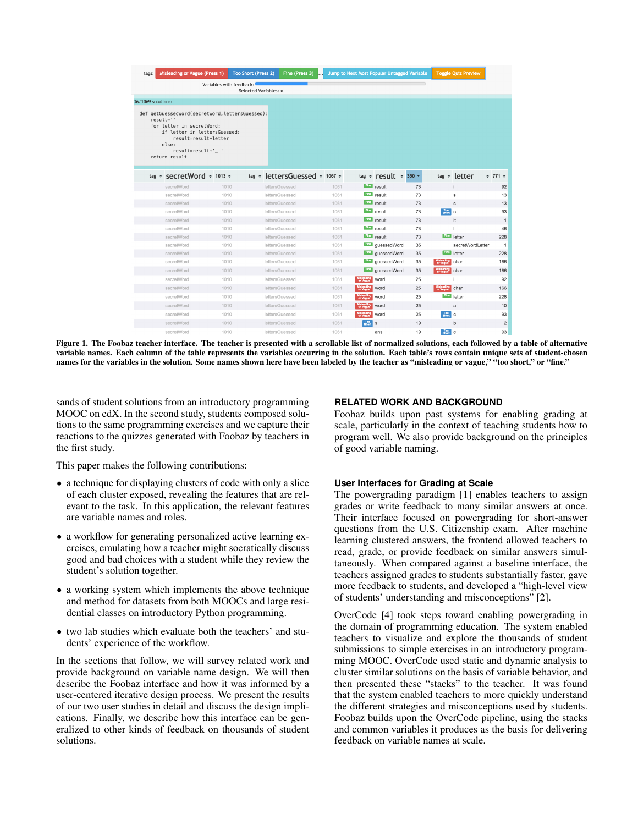| tags: | <b>Misleading or Vague (Press 1)</b>                                                                                                                                                               |                          | Too Short (Press 2)   | Fine (Press 3)                |      |              | Jump to Next Most Popular Untagged Variable    |    | <b>Toggle Quiz Preview</b>            |                   |
|-------|----------------------------------------------------------------------------------------------------------------------------------------------------------------------------------------------------|--------------------------|-----------------------|-------------------------------|------|--------------|------------------------------------------------|----|---------------------------------------|-------------------|
|       |                                                                                                                                                                                                    | Variables with feedback: |                       |                               |      |              |                                                |    |                                       |                   |
|       |                                                                                                                                                                                                    |                          | Selected Variables: x |                               |      |              |                                                |    |                                       |                   |
|       | 36/1069 solutions:                                                                                                                                                                                 |                          |                       |                               |      |              |                                                |    |                                       |                   |
|       | def getGuessedWord(secretWord, lettersGuessed):<br>$result="$<br>for letter in secretWord:<br>if letter in lettersGuessed:<br>result=result+letter<br>else:<br>result=result+'_ '<br>return result |                          |                       |                               |      |              |                                                |    |                                       |                   |
|       | tag $\div$ secretWord $\div$ 1013 $\div$                                                                                                                                                           |                          |                       | tag + lettersGuessed + 1067 + |      |              | $tag \Leftrightarrow \text{result} \div 350$ - |    | $tag \leftarrow$ letter               | $\div$ 771 $\div$ |
|       | secretWord                                                                                                                                                                                         | 1010                     |                       | lettersGuessed                | 1061 | Fine         | result                                         | 73 |                                       | 92                |
|       | secretWord                                                                                                                                                                                         | 1010                     |                       | lettersGuessed                | 1061 | Fine         | result                                         | 73 | s                                     | 13                |
|       | secretWord                                                                                                                                                                                         | 1010                     |                       | lettersGuessed                | 1061 | <b>Fine</b>  | result                                         | 73 | s                                     | 13                |
|       | secretWord                                                                                                                                                                                         | 1010                     |                       | <b>lettersGuessed</b>         | 1061 | Fine         | result                                         | 73 | Too<br>Short<br>$\mathbf c$           | 93                |
|       | secretWord                                                                                                                                                                                         | 1010                     |                       | lettersGuessed                | 1061 | Fine         | result                                         | 73 | it                                    | 1                 |
|       | secretWord                                                                                                                                                                                         | 1010                     |                       | <b>lettersGuessed</b>         | 1061 | $F$ ine      | result                                         | 73 |                                       | 46                |
|       | secretWord                                                                                                                                                                                         | 1010                     |                       | <b>lettersGuessed</b>         | 1061 | Fine         | result                                         | 73 | Fine<br>letter                        | 228               |
|       | secretWord                                                                                                                                                                                         | 1010                     |                       | lettersGuessed                | 1061 | Fino         | guessedWord                                    | 35 | secretWordLetter                      | $\mathbf{1}$      |
|       | secretWord                                                                                                                                                                                         | 1010                     |                       | lettersGuessed                | 1061 | <b>Fine</b>  | quessedWord                                    | 35 | Fine<br>letter                        | 228               |
|       | secretWord                                                                                                                                                                                         | 1010                     |                       | lettersGuessed                | 1061 | <b>Fine</b>  | guessedWord                                    | 35 | char<br>or Vague                      | 166               |
|       | secretWord                                                                                                                                                                                         | 1010                     |                       | lettersGuessed                | 1061 | Fine         | quessedWord                                    | 35 | char<br>or Va                         | 166               |
|       | secretWord                                                                                                                                                                                         | 1010                     |                       | <b>lettersGuessed</b>         | 1061 |              | word                                           | 25 |                                       | 92                |
|       | secretWord                                                                                                                                                                                         | 1010                     |                       | lettersGuessed                | 1061 | or Vague     | word                                           | 25 | <b>Misleading</b><br>or Vague<br>char | 166               |
|       | secretWord                                                                                                                                                                                         | 1010                     |                       | lettersGuessed                | 1061 | or Vague     | word                                           | 25 | Fine<br>letter                        | 228               |
|       | secretWord                                                                                                                                                                                         | 1010                     |                       | lettersGuessed                | 1061 | or Vague     | word                                           | 25 | a                                     | 10                |
|       | secretWord                                                                                                                                                                                         | 1010                     |                       | lettersGuessed                | 1061 |              | word                                           | 25 | Too C                                 | 93                |
|       | secretWord                                                                                                                                                                                         | 1010                     |                       | lettersGuessed                | 1061 | Too<br>Short | $\mathbf s$                                    | 19 | b                                     | $\overline{2}$    |
|       | secretWord                                                                                                                                                                                         | 1010                     |                       | lettersGuessed                | 1061 |              | ans                                            | 19 | Too<br>Short<br>$\mathbf{C}$          | 93                |

<span id="page-1-0"></span>Figure 1. The Foobaz teacher interface. The teacher is presented with a scrollable list of normalized solutions, each followed by a table of alternative variable names. Each column of the table represents the variables occurring in the solution. Each table's rows contain unique sets of student-chosen names for the variables in the solution. Some names shown here have been labeled by the teacher as "misleading or vague," "too short," or "fine."

sands of student solutions from an introductory programming MOOC on edX. In the second study, students composed solutions to the same programming exercises and we capture their reactions to the quizzes generated with Foobaz by teachers in the first study.

This paper makes the following contributions:

- a technique for displaying clusters of code with only a slice of each cluster exposed, revealing the features that are relevant to the task. In this application, the relevant features are variable names and roles.
- a workflow for generating personalized active learning exercises, emulating how a teacher might socratically discuss good and bad choices with a student while they review the student's solution together.
- a working system which implements the above technique and method for datasets from both MOOCs and large residential classes on introductory Python programming.
- two lab studies which evaluate both the teachers' and students' experience of the workflow.

In the sections that follow, we will survey related work and provide background on variable name design. We will then describe the Foobaz interface and how it was informed by a user-centered iterative design process. We present the results of our two user studies in detail and discuss the design implications. Finally, we describe how this interface can be generalized to other kinds of feedback on thousands of student solutions.

# **RELATED WORK AND BACKGROUND**

Foobaz builds upon past systems for enabling grading at scale, particularly in the context of teaching students how to program well. We also provide background on the principles of good variable naming.

# **User Interfaces for Grading at Scale**

The powergrading paradigm [\[1\]](#page-8-1) enables teachers to assign grades or write feedback to many similar answers at once. Their interface focused on powergrading for short-answer questions from the U.S. Citizenship exam. After machine learning clustered answers, the frontend allowed teachers to read, grade, or provide feedback on similar answers simultaneously. When compared against a baseline interface, the teachers assigned grades to students substantially faster, gave more feedback to students, and developed a "high-level view of students' understanding and misconceptions" [\[2\]](#page-8-2).

OverCode [\[4\]](#page-8-3) took steps toward enabling powergrading in the domain of programming education. The system enabled teachers to visualize and explore the thousands of student submissions to simple exercises in an introductory programming MOOC. OverCode used static and dynamic analysis to cluster similar solutions on the basis of variable behavior, and then presented these "stacks" to the teacher. It was found that the system enabled teachers to more quickly understand the different strategies and misconceptions used by students. Foobaz builds upon the OverCode pipeline, using the stacks and common variables it produces as the basis for delivering feedback on variable names at scale.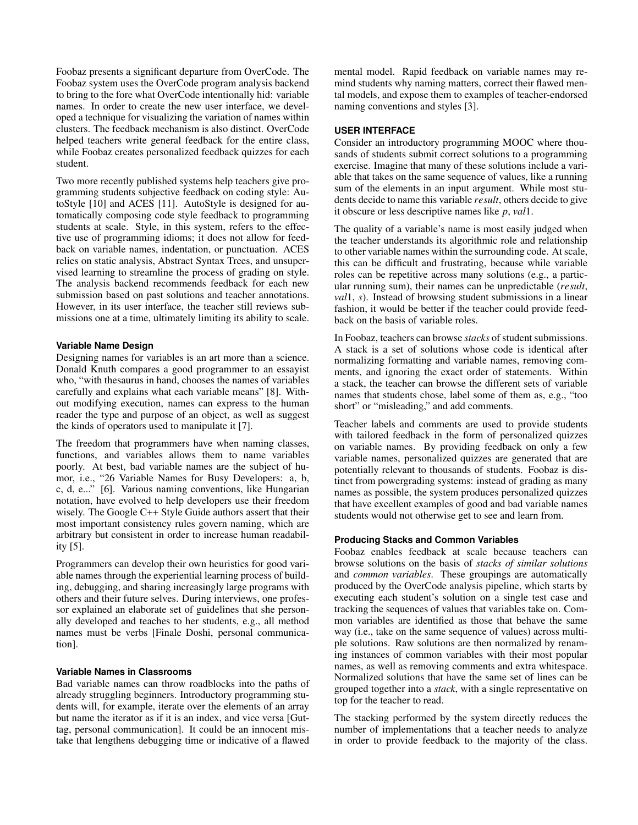Foobaz presents a significant departure from OverCode. The Foobaz system uses the OverCode program analysis backend to bring to the fore what OverCode intentionally hid: variable names. In order to create the new user interface, we developed a technique for visualizing the variation of names within clusters. The feedback mechanism is also distinct. OverCode helped teachers write general feedback for the entire class, while Foobaz creates personalized feedback quizzes for each student.

Two more recently published systems help teachers give programming students subjective feedback on coding style: AutoStyle [\[10\]](#page-8-4) and ACES [\[11\]](#page-8-5). AutoStyle is designed for automatically composing code style feedback to programming students at scale. Style, in this system, refers to the effective use of programming idioms; it does not allow for feedback on variable names, indentation, or punctuation. ACES relies on static analysis, Abstract Syntax Trees, and unsupervised learning to streamline the process of grading on style. The analysis backend recommends feedback for each new submission based on past solutions and teacher annotations. However, in its user interface, the teacher still reviews submissions one at a time, ultimately limiting its ability to scale.

# **Variable Name Design**

Designing names for variables is an art more than a science. Donald Knuth compares a good programmer to an essayist who, "with thesaurus in hand, chooses the names of variables carefully and explains what each variable means" [\[8\]](#page-8-6). Without modifying execution, names can express to the human reader the type and purpose of an object, as well as suggest the kinds of operators used to manipulate it [\[7\]](#page-8-7).

The freedom that programmers have when naming classes, functions, and variables allows them to name variables poorly. At best, bad variable names are the subject of humor, i.e., "26 Variable Names for Busy Developers: a, b, c, d, e..." [\[6\]](#page-8-8). Various naming conventions, like Hungarian notation, have evolved to help developers use their freedom wisely. The Google C++ Style Guide authors assert that their most important consistency rules govern naming, which are arbitrary but consistent in order to increase human readability [\[5\]](#page-8-9).

Programmers can develop their own heuristics for good variable names through the experiential learning process of building, debugging, and sharing increasingly large programs with others and their future selves. During interviews, one professor explained an elaborate set of guidelines that she personally developed and teaches to her students, e.g., all method names must be verbs [Finale Doshi, personal communication].

## **Variable Names in Classrooms**

Bad variable names can throw roadblocks into the paths of already struggling beginners. Introductory programming students will, for example, iterate over the elements of an array but name the iterator as if it is an index, and vice versa [Guttag, personal communication]. It could be an innocent mistake that lengthens debugging time or indicative of a flawed mental model. Rapid feedback on variable names may remind students why naming matters, correct their flawed mental models, and expose them to examples of teacher-endorsed naming conventions and styles [\[3\]](#page-8-10).

#### **USER INTERFACE**

Consider an introductory programming MOOC where thousands of students submit correct solutions to a programming exercise. Imagine that many of these solutions include a variable that takes on the same sequence of values, like a running sum of the elements in an input argument. While most students decide to name this variable *result*, others decide to give it obscure or less descriptive names like *p*, *val*1.

The quality of a variable's name is most easily judged when the teacher understands its algorithmic role and relationship to other variable names within the surrounding code. At scale, this can be difficult and frustrating, because while variable roles can be repetitive across many solutions (e.g., a particular running sum), their names can be unpredictable (*result*, *val*1, *s*). Instead of browsing student submissions in a linear fashion, it would be better if the teacher could provide feedback on the basis of variable roles.

In Foobaz, teachers can browse *stacks* of student submissions. A stack is a set of solutions whose code is identical after normalizing formatting and variable names, removing comments, and ignoring the exact order of statements. Within a stack, the teacher can browse the different sets of variable names that students chose, label some of them as, e.g., "too short" or "misleading," and add comments.

Teacher labels and comments are used to provide students with tailored feedback in the form of personalized quizzes on variable names. By providing feedback on only a few variable names, personalized quizzes are generated that are potentially relevant to thousands of students. Foobaz is distinct from powergrading systems: instead of grading as many names as possible, the system produces personalized quizzes that have excellent examples of good and bad variable names students would not otherwise get to see and learn from.

# **Producing Stacks and Common Variables**

Foobaz enables feedback at scale because teachers can browse solutions on the basis of *stacks of similar solutions* and *common variables*. These groupings are automatically produced by the OverCode analysis pipeline, which starts by executing each student's solution on a single test case and tracking the sequences of values that variables take on. Common variables are identified as those that behave the same way (i.e., take on the same sequence of values) across multiple solutions. Raw solutions are then normalized by renaming instances of common variables with their most popular names, as well as removing comments and extra whitespace. Normalized solutions that have the same set of lines can be grouped together into a *stack*, with a single representative on top for the teacher to read.

The stacking performed by the system directly reduces the number of implementations that a teacher needs to analyze in order to provide feedback to the majority of the class.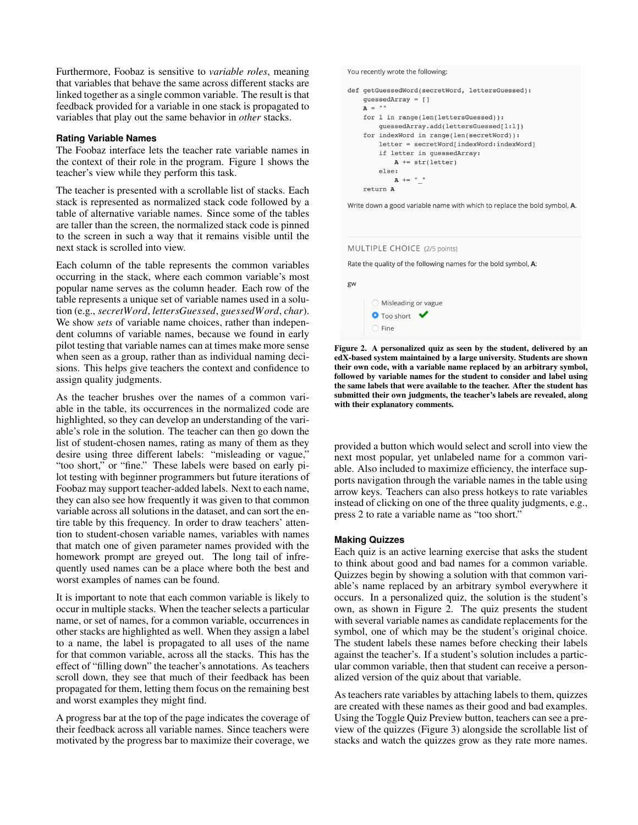Furthermore, Foobaz is sensitive to *variable roles*, meaning that variables that behave the same across different stacks are linked together as a single common variable. The result is that feedback provided for a variable in one stack is propagated to variables that play out the same behavior in *other* stacks.

# **Rating Variable Names**

The Foobaz interface lets the teacher rate variable names in the context of their role in the program. Figure [1](#page-1-0) shows the teacher's view while they perform this task.

The teacher is presented with a scrollable list of stacks. Each stack is represented as normalized stack code followed by a table of alternative variable names. Since some of the tables are taller than the screen, the normalized stack code is pinned to the screen in such a way that it remains visible until the next stack is scrolled into view.

Each column of the table represents the common variables occurring in the stack, where each common variable's most popular name serves as the column header. Each row of the table represents a unique set of variable names used in a solution (e.g., *secretWord*, *lettersGuessed*, *guessedWord*, *char*). We show *sets* of variable name choices, rather than independent columns of variable names, because we found in early pilot testing that variable names can at times make more sense when seen as a group, rather than as individual naming decisions. This helps give teachers the context and confidence to assign quality judgments.

As the teacher brushes over the names of a common variable in the table, its occurrences in the normalized code are highlighted, so they can develop an understanding of the variable's role in the solution. The teacher can then go down the list of student-chosen names, rating as many of them as they desire using three different labels: "misleading or vague," "too short," or "fine." These labels were based on early pilot testing with beginner programmers but future iterations of Foobaz may support teacher-added labels. Next to each name, they can also see how frequently it was given to that common variable across all solutions in the dataset, and can sort the entire table by this frequency. In order to draw teachers' attention to student-chosen variable names, variables with names that match one of given parameter names provided with the homework prompt are greyed out. The long tail of infrequently used names can be a place where both the best and worst examples of names can be found.

It is important to note that each common variable is likely to occur in multiple stacks. When the teacher selects a particular name, or set of names, for a common variable, occurrences in other stacks are highlighted as well. When they assign a label to a name, the label is propagated to all uses of the name for that common variable, across all the stacks. This has the effect of "filling down" the teacher's annotations. As teachers scroll down, they see that much of their feedback has been propagated for them, letting them focus on the remaining best and worst examples they might find.

A progress bar at the top of the page indicates the coverage of their feedback across all variable names. Since teachers were motivated by the progress bar to maximize their coverage, we

You recently wrote the following:

```
def getGuessedWord(secretWord, lettersGuessed):
guessedArray = []A = "for 1 in range(len(lettersGuessed)):
     guessedArray.add(lettersGuessed[l:l])
 for indexWord in range(len(secretWord)):
    letter = secretWord/indexWord:indexWordif letter in quessedArray:
        A \leftarrow str(letter)else:A + = "
 return A
```
Write down a good variable name with which to replace the bold symbol, A.

#### MULTIPLE CHOICE (2/5 points)

Rate the quality of the following names for the bold symbol, A:

gw



<span id="page-3-0"></span>Figure 2. A personalized quiz as seen by the student, delivered by an edX-based system maintained by a large university. Students are shown their own code, with a variable name replaced by an arbitrary symbol, followed by variable names for the student to consider and label using the same labels that were available to the teacher. After the student has submitted their own judgments, the teacher's labels are revealed, along with their explanatory comments.

provided a button which would select and scroll into view the next most popular, yet unlabeled name for a common variable. Also included to maximize efficiency, the interface supports navigation through the variable names in the table using arrow keys. Teachers can also press hotkeys to rate variables instead of clicking on one of the three quality judgments, e.g., press 2 to rate a variable name as "too short."

## **Making Quizzes**

Each quiz is an active learning exercise that asks the student to think about good and bad names for a common variable. Quizzes begin by showing a solution with that common variable's name replaced by an arbitrary symbol everywhere it occurs. In a personalized quiz, the solution is the student's own, as shown in Figure [2.](#page-3-0) The quiz presents the student with several variable names as candidate replacements for the symbol, one of which may be the student's original choice. The student labels these names before checking their labels against the teacher's. If a student's solution includes a particular common variable, then that student can receive a personalized version of the quiz about that variable.

As teachers rate variables by attaching labels to them, quizzes are created with these names as their good and bad examples. Using the Toggle Quiz Preview button, teachers can see a preview of the quizzes (Figure [3\)](#page-4-0) alongside the scrollable list of stacks and watch the quizzes grow as they rate more names.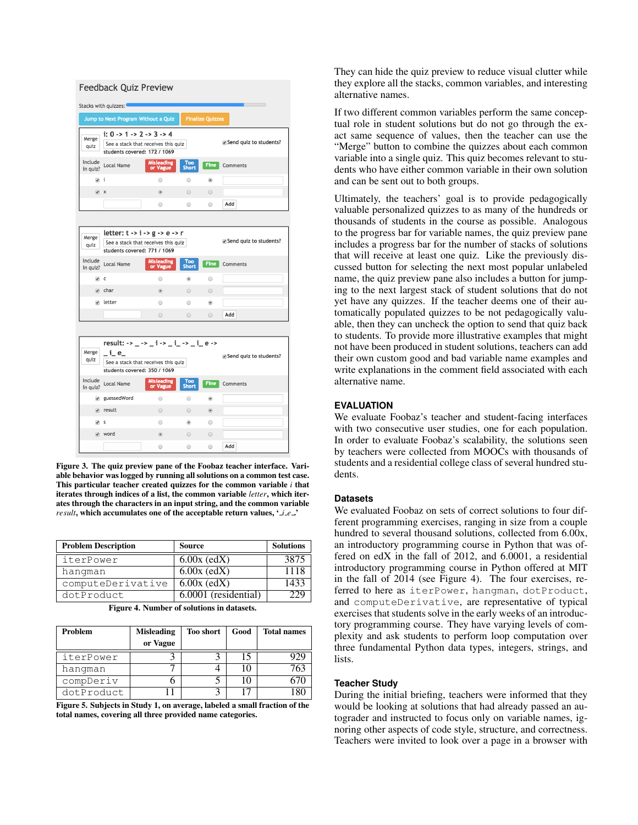| <b>Feedback Quiz Preview</b> |                                                                                                                                       |                               |                         |                |                        |  |  |  |
|------------------------------|---------------------------------------------------------------------------------------------------------------------------------------|-------------------------------|-------------------------|----------------|------------------------|--|--|--|
| Stacks with quizzes:         |                                                                                                                                       |                               |                         |                |                        |  |  |  |
|                              | Jump to Next Program Without a Quiz                                                                                                   |                               | <b>Finalize Quizzes</b> |                |                        |  |  |  |
| Merge<br>quiz                | i: $0 \rightarrow 1 \rightarrow 2 \rightarrow 3 \rightarrow 4$<br>See a stack that receives this quiz<br>students covered: 172 / 1069 |                               |                         |                | Send quiz to students? |  |  |  |
| Include<br>in quiz?          | <b>Misleading</b><br>Local Name<br>or Vague                                                                                           |                               | Too<br><b>Short</b>     | <b>Fine</b>    | Comments               |  |  |  |
| √i                           |                                                                                                                                       | $\odot$                       | $\bigcirc$              | $^{\circ}$     |                        |  |  |  |
| $\sqrt{2}$                   |                                                                                                                                       | $\circledcirc$                | $\circ$                 | 0              |                        |  |  |  |
|                              |                                                                                                                                       | $\odot$                       | $\circ$                 | $\bigcirc$     | Add                    |  |  |  |
|                              |                                                                                                                                       |                               |                         |                |                        |  |  |  |
| Merge<br>quiz                | letter: $t - > i - > g - > e - > r$<br>Send quiz to students?<br>See a stack that receives this quiz<br>students covered: 771 / 1069  |                               |                         |                |                        |  |  |  |
| Include<br>in quiz?          | Local Name                                                                                                                            | <b>Misleading</b><br>or Vague | Too<br><b>Short</b>     | <b>Fine</b>    | Comments               |  |  |  |
| $\sqrt{C}$                   |                                                                                                                                       | $\odot$                       | $\circledcirc$          | $\bigcirc$     |                        |  |  |  |
|                              | $\sqrt{ }$ char                                                                                                                       | $\circledcirc$                | $\bigcirc$              | $\bigcirc$     |                        |  |  |  |
|                              | $\sqrt{ }$ letter                                                                                                                     | $\bigcirc$                    | $\bigcirc$              | $^{\circ}$     |                        |  |  |  |
|                              |                                                                                                                                       | $\bigcirc$                    | $\bigcirc$              | $\bigcirc$     | Add                    |  |  |  |
| Merge<br>quiz                | result: -> _ -> _ i -> _ i _ -> _ i _ e -><br>_ i_ e_<br>See a stack that receives this quiz<br>students covered: 350 / 1069          | Send quiz to students?        |                         |                |                        |  |  |  |
| Include<br>in quiz?          | Local Name                                                                                                                            | <b>Misleading</b><br>or Vague | Too<br><b>Short</b>     | <b>Fine</b>    | Comments               |  |  |  |
| $\overline{\mathscr{L}}$     | guessedWord                                                                                                                           | $\odot$                       | $\bigcirc$              | $^{\circ}$     |                        |  |  |  |
|                              | $\sqrt{ }$ result                                                                                                                     | $\bigcirc$                    | $\bigcirc$              | $\circledcirc$ |                        |  |  |  |
| $\sqrt{S}$                   |                                                                                                                                       | $\odot$                       | $\circledcirc$          | $\bigcirc$     |                        |  |  |  |
|                              | √ word                                                                                                                                | $^{\circ}$                    | $\bigcirc$              | $\circ$        |                        |  |  |  |
|                              |                                                                                                                                       | $\bigcirc$                    | $\bigcirc$              | $\bigcirc$     | Add                    |  |  |  |

<span id="page-4-0"></span>Figure 3. The quiz preview pane of the Foobaz teacher interface. Variable behavior was logged by running all solutions on a common test case. This particular teacher created quizzes for the common variable *i* that iterates through indices of a list, the common variable *letter*, which iterates through the characters in an input string, and the common variable *result*, which accumulates one of the acceptable return values, '*i.e.*'

| <b>Problem Description</b> | <b>Source</b>        | <b>Solutions</b> |
|----------------------------|----------------------|------------------|
| iterPower                  | $6.00x$ (edX)        | 3875             |
| hangman                    | $6.00x$ (edX)        | 1118             |
| computeDerivative          | $6.00x$ (edX)        | 1433             |
| dotProduct                 | 6.0001 (residential) |                  |

<span id="page-4-1"></span>Figure 4. Number of solutions in datasets.

| <b>Problem</b> | <b>Misleading</b><br>or Vague | <b>Too short</b> | Good | <b>Total names</b> |
|----------------|-------------------------------|------------------|------|--------------------|
| iterPower      |                               |                  |      |                    |
| hangman        |                               |                  |      | 763                |
| compDeriv      |                               |                  |      |                    |
| dotProduct     |                               |                  |      |                    |

<span id="page-4-2"></span>Figure 5. Subjects in Study 1, on average, labeled a small fraction of the total names, covering all three provided name categories.

They can hide the quiz preview to reduce visual clutter while they explore all the stacks, common variables, and interesting alternative names.

If two different common variables perform the same conceptual role in student solutions but do not go through the exact same sequence of values, then the teacher can use the "Merge" button to combine the quizzes about each common variable into a single quiz. This quiz becomes relevant to students who have either common variable in their own solution and can be sent out to both groups.

Ultimately, the teachers' goal is to provide pedagogically valuable personalized quizzes to as many of the hundreds or thousands of students in the course as possible. Analogous to the progress bar for variable names, the quiz preview pane includes a progress bar for the number of stacks of solutions that will receive at least one quiz. Like the previously discussed button for selecting the next most popular unlabeled name, the quiz preview pane also includes a button for jumping to the next largest stack of student solutions that do not yet have any quizzes. If the teacher deems one of their automatically populated quizzes to be not pedagogically valuable, then they can uncheck the option to send that quiz back to students. To provide more illustrative examples that might not have been produced in student solutions, teachers can add their own custom good and bad variable name examples and write explanations in the comment field associated with each alternative name.

# **EVALUATION**

We evaluate Foobaz's teacher and student-facing interfaces with two consecutive user studies, one for each population. In order to evaluate Foobaz's scalability, the solutions seen by teachers were collected from MOOCs with thousands of students and a residential college class of several hundred students.

# **Datasets**

We evaluated Foobaz on sets of correct solutions to four different programming exercises, ranging in size from a couple hundred to several thousand solutions, collected from 6.00x, an introductory programming course in Python that was offered on edX in the fall of 2012, and 6.0001, a residential introductory programming course in Python offered at MIT in the fall of 2014 (see Figure [4\)](#page-4-1). The four exercises, referred to here as iterPower, hangman, dotProduct, and computeDerivative, are representative of typical exercises that students solve in the early weeks of an introductory programming course. They have varying levels of complexity and ask students to perform loop computation over three fundamental Python data types, integers, strings, and lists.

#### **Teacher Study**

During the initial briefing, teachers were informed that they would be looking at solutions that had already passed an autograder and instructed to focus only on variable names, ignoring other aspects of code style, structure, and correctness. Teachers were invited to look over a page in a browser with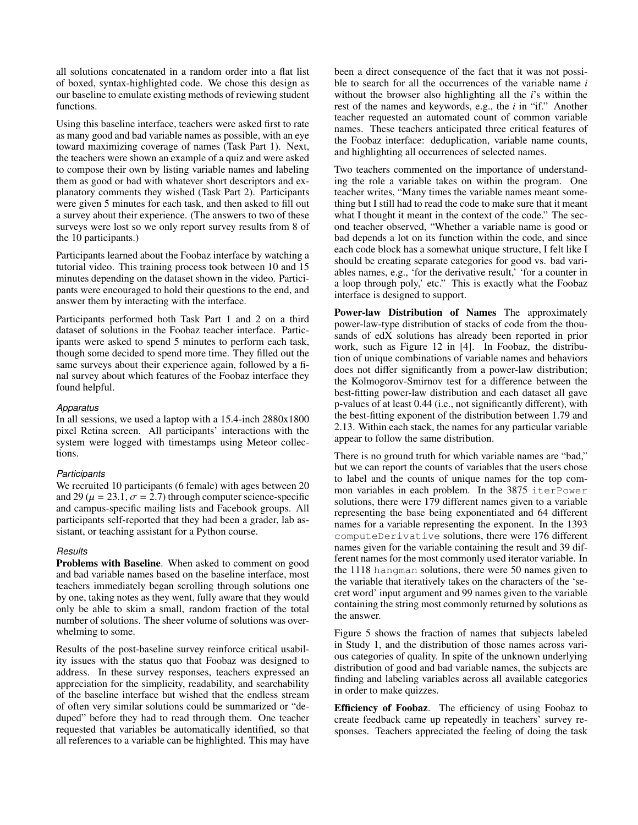all solutions concatenated in a random order into a flat list of boxed, syntax-highlighted code. We chose this design as our baseline to emulate existing methods of reviewing student functions.

Using this baseline interface, teachers were asked first to rate as many good and bad variable names as possible, with an eye toward maximizing coverage of names (Task Part 1). Next, the teachers were shown an example of a quiz and were asked to compose their own by listing variable names and labeling them as good or bad with whatever short descriptors and explanatory comments they wished (Task Part 2). Participants were given 5 minutes for each task, and then asked to fill out a survey about their experience. (The answers to two of these surveys were lost so we only report survey results from 8 of the 10 participants.)

Participants learned about the Foobaz interface by watching a tutorial video. This training process took between 10 and 15 minutes depending on the dataset shown in the video. Participants were encouraged to hold their questions to the end, and answer them by interacting with the interface.

Participants performed both Task Part 1 and 2 on a third dataset of solutions in the Foobaz teacher interface. Participants were asked to spend 5 minutes to perform each task, though some decided to spend more time. They filled out the same surveys about their experience again, followed by a final survey about which features of the Foobaz interface they found helpful.

# *Apparatus*

In all sessions, we used a laptop with a 15.4-inch 2880x1800 pixel Retina screen. All participants' interactions with the system were logged with timestamps using Meteor collections.

#### *Participants*

We recruited 10 participants (6 female) with ages between 20 and 29 ( $\mu$  = 23.1,  $\sigma$  = 2.7) through computer science-specific and campus-specific mailing lists and Facebook groups. All participants self-reported that they had been a grader, lab assistant, or teaching assistant for a Python course.

#### *Results*

Problems with Baseline. When asked to comment on good and bad variable names based on the baseline interface, most teachers immediately began scrolling through solutions one by one, taking notes as they went, fully aware that they would only be able to skim a small, random fraction of the total number of solutions. The sheer volume of solutions was overwhelming to some.

Results of the post-baseline survey reinforce critical usability issues with the status quo that Foobaz was designed to address. In these survey responses, teachers expressed an appreciation for the simplicity, readability, and searchability of the baseline interface but wished that the endless stream of often very similar solutions could be summarized or "deduped" before they had to read through them. One teacher requested that variables be automatically identified, so that all references to a variable can be highlighted. This may have been a direct consequence of the fact that it was not possible to search for all the occurrences of the variable name *i* without the browser also highlighting all the *i*'s within the rest of the names and keywords, e.g., the *i* in "if." Another teacher requested an automated count of common variable names. These teachers anticipated three critical features of the Foobaz interface: deduplication, variable name counts, and highlighting all occurrences of selected names.

Two teachers commented on the importance of understanding the role a variable takes on within the program. One teacher writes, "Many times the variable names meant something but I still had to read the code to make sure that it meant what I thought it meant in the context of the code." The second teacher observed, "Whether a variable name is good or bad depends a lot on its function within the code, and since each code block has a somewhat unique structure, I felt like I should be creating separate categories for good vs. bad variables names, e.g., 'for the derivative result,' 'for a counter in a loop through poly,' etc." This is exactly what the Foobaz interface is designed to support.

Power-law Distribution of Names The approximately power-law-type distribution of stacks of code from the thousands of edX solutions has already been reported in prior work, such as Figure 12 in [\[4\]](#page-8-3). In Foobaz, the distribution of unique combinations of variable names and behaviors does not differ significantly from a power-law distribution; the Kolmogorov-Smirnov test for a difference between the best-fitting power-law distribution and each dataset all gave p-values of at least <sup>0</sup>.<sup>44</sup> (i.e., not significantly different), with the best-fitting exponent of the distribution between <sup>1</sup>.<sup>79</sup> and <sup>2</sup>.13. Within each stack, the names for any particular variable appear to follow the same distribution.

There is no ground truth for which variable names are "bad," but we can report the counts of variables that the users chose to label and the counts of unique names for the top common variables in each problem. In the 3875 iterPower solutions, there were 179 different names given to a variable representing the base being exponentiated and 64 different names for a variable representing the exponent. In the 1393 computeDerivative solutions, there were 176 different names given for the variable containing the result and 39 different names for the most commonly used iterator variable. In the 1118 hangman solutions, there were 50 names given to the variable that iteratively takes on the characters of the 'secret word' input argument and 99 names given to the variable containing the string most commonly returned by solutions as the answer.

Figure [5](#page-4-2) shows the fraction of names that subjects labeled in Study 1, and the distribution of those names across various categories of quality. In spite of the unknown underlying distribution of good and bad variable names, the subjects are finding and labeling variables across all available categories in order to make quizzes.

Efficiency of Foobaz. The efficiency of using Foobaz to create feedback came up repeatedly in teachers' survey responses. Teachers appreciated the feeling of doing the task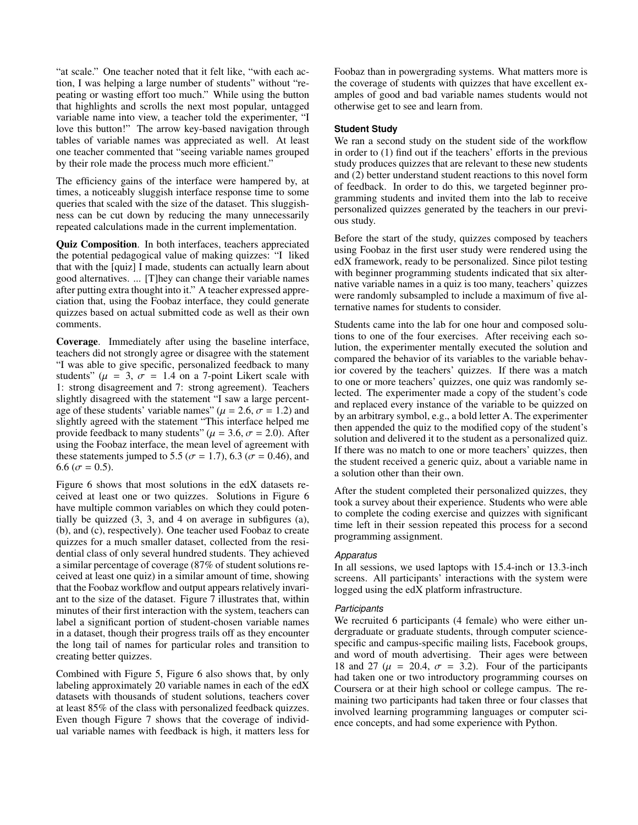"at scale." One teacher noted that it felt like, "with each action, I was helping a large number of students" without "repeating or wasting effort too much." While using the button that highlights and scrolls the next most popular, untagged variable name into view, a teacher told the experimenter, "I love this button!" The arrow key-based navigation through tables of variable names was appreciated as well. At least one teacher commented that "seeing variable names grouped by their role made the process much more efficient."

The efficiency gains of the interface were hampered by, at times, a noticeably sluggish interface response time to some queries that scaled with the size of the dataset. This sluggishness can be cut down by reducing the many unnecessarily repeated calculations made in the current implementation.

Quiz Composition. In both interfaces, teachers appreciated the potential pedagogical value of making quizzes: "I liked that with the [quiz] I made, students can actually learn about good alternatives. ... [T]hey can change their variable names after putting extra thought into it." A teacher expressed appreciation that, using the Foobaz interface, they could generate quizzes based on actual submitted code as well as their own comments.

Coverage. Immediately after using the baseline interface, teachers did not strongly agree or disagree with the statement "I was able to give specific, personalized feedback to many students" ( $\mu = 3$ ,  $\sigma = 1.4$  on a 7-point Likert scale with 1: strong disagreement and 7: strong agreement). Teachers slightly disagreed with the statement "I saw a large percentage of these students' variable names" ( $\mu$  = 2.6,  $\sigma$  = 1.2) and slightly agreed with the statement "This interface helped me provide feedback to many students" ( $\mu$  = 3.6,  $\sigma$  = 2.0). After using the Foobaz interface, the mean level of agreement with these statements jumped to 5.5 ( $\sigma$  = 1.7), 6.3 ( $\sigma$  = 0.46), and 6.6 ( $\sigma$  = 0.5).

Figure [6](#page-7-0) shows that most solutions in the edX datasets received at least one or two quizzes. Solutions in Figure [6](#page-7-0) have multiple common variables on which they could potentially be quizzed (3, 3, and 4 on average in subfigures (a), (b), and (c), respectively). One teacher used Foobaz to create quizzes for a much smaller dataset, collected from the residential class of only several hundred students. They achieved a similar percentage of coverage (87% of student solutions received at least one quiz) in a similar amount of time, showing that the Foobaz workflow and output appears relatively invariant to the size of the dataset. Figure [7](#page-7-1) illustrates that, within minutes of their first interaction with the system, teachers can label a significant portion of student-chosen variable names in a dataset, though their progress trails off as they encounter the long tail of names for particular roles and transition to creating better quizzes.

Combined with Figure [5,](#page-4-2) Figure [6](#page-7-0) also shows that, by only labeling approximately 20 variable names in each of the edX datasets with thousands of student solutions, teachers cover at least 85% of the class with personalized feedback quizzes. Even though Figure [7](#page-7-1) shows that the coverage of individual variable names with feedback is high, it matters less for Foobaz than in powergrading systems. What matters more is the coverage of students with quizzes that have excellent examples of good and bad variable names students would not otherwise get to see and learn from.

# **Student Study**

We ran a second study on the student side of the workflow in order to (1) find out if the teachers' efforts in the previous study produces quizzes that are relevant to these new students and (2) better understand student reactions to this novel form of feedback. In order to do this, we targeted beginner programming students and invited them into the lab to receive personalized quizzes generated by the teachers in our previous study.

Before the start of the study, quizzes composed by teachers using Foobaz in the first user study were rendered using the edX framework, ready to be personalized. Since pilot testing with beginner programming students indicated that six alternative variable names in a quiz is too many, teachers' quizzes were randomly subsampled to include a maximum of five alternative names for students to consider.

Students came into the lab for one hour and composed solutions to one of the four exercises. After receiving each solution, the experimenter mentally executed the solution and compared the behavior of its variables to the variable behavior covered by the teachers' quizzes. If there was a match to one or more teachers' quizzes, one quiz was randomly selected. The experimenter made a copy of the student's code and replaced every instance of the variable to be quizzed on by an arbitrary symbol, e.g., a bold letter A. The experimenter then appended the quiz to the modified copy of the student's solution and delivered it to the student as a personalized quiz. If there was no match to one or more teachers' quizzes, then the student received a generic quiz, about a variable name in a solution other than their own.

After the student completed their personalized quizzes, they took a survey about their experience. Students who were able to complete the coding exercise and quizzes with significant time left in their session repeated this process for a second programming assignment.

#### *Apparatus*

In all sessions, we used laptops with 15.4-inch or 13.3-inch screens. All participants' interactions with the system were logged using the edX platform infrastructure.

#### *Participants*

We recruited 6 participants (4 female) who were either undergraduate or graduate students, through computer sciencespecific and campus-specific mailing lists, Facebook groups, and word of mouth advertising. Their ages were between 18 and 27 ( $\mu$  = 20.4,  $\sigma$  = 3.2). Four of the participants had taken one or two introductory programming courses on Coursera or at their high school or college campus. The remaining two participants had taken three or four classes that involved learning programming languages or computer science concepts, and had some experience with Python.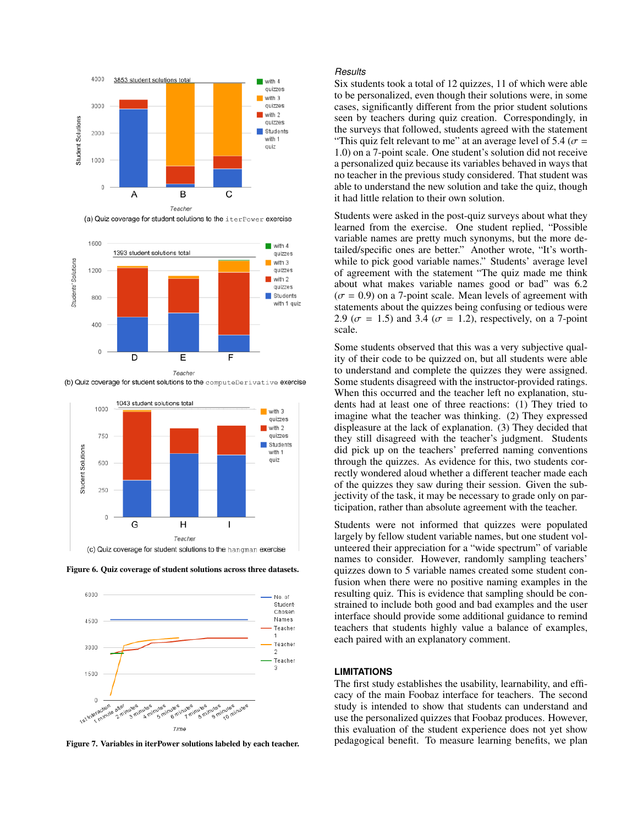





Figure 6. Quiz coverage of student solutions across three datasets.

<span id="page-7-0"></span>

<span id="page-7-1"></span>Figure 7. Variables in iterPower solutions labeled by each teacher.

#### *Results*

Six students took a total of 12 quizzes, 11 of which were able to be personalized, even though their solutions were, in some cases, significantly different from the prior student solutions seen by teachers during quiz creation. Correspondingly, in the surveys that followed, students agreed with the statement "This quiz felt relevant to me" at an average level of 5.4 ( $\sigma$  = <sup>1</sup>.0) on a 7-point scale. One student's solution did not receive a personalized quiz because its variables behaved in ways that no teacher in the previous study considered. That student was able to understand the new solution and take the quiz, though it had little relation to their own solution.

Students were asked in the post-quiz surveys about what they learned from the exercise. One student replied, "Possible variable names are pretty much synonyms, but the more detailed/specific ones are better." Another wrote, "It's worthwhile to pick good variable names." Students' average level of agreement with the statement "The quiz made me think about what makes variable names good or bad" was 6.2  $(\sigma = 0.9)$  on a 7-point scale. Mean levels of agreement with statements about the quizzes being confusing or tedious were 2.9 ( $\sigma$  = 1.5) and 3.4 ( $\sigma$  = 1.2), respectively, on a 7-point scale.

Some students observed that this was a very subjective quality of their code to be quizzed on, but all students were able to understand and complete the quizzes they were assigned. Some students disagreed with the instructor-provided ratings. When this occurred and the teacher left no explanation, students had at least one of three reactions: (1) They tried to imagine what the teacher was thinking. (2) They expressed displeasure at the lack of explanation. (3) They decided that they still disagreed with the teacher's judgment. Students did pick up on the teachers' preferred naming conventions through the quizzes. As evidence for this, two students correctly wondered aloud whether a different teacher made each of the quizzes they saw during their session. Given the subjectivity of the task, it may be necessary to grade only on participation, rather than absolute agreement with the teacher.

Students were not informed that quizzes were populated largely by fellow student variable names, but one student volunteered their appreciation for a "wide spectrum" of variable names to consider. However, randomly sampling teachers' quizzes down to 5 variable names created some student confusion when there were no positive naming examples in the resulting quiz. This is evidence that sampling should be constrained to include both good and bad examples and the user interface should provide some additional guidance to remind teachers that students highly value a balance of examples, each paired with an explanatory comment.

#### **LIMITATIONS**

The first study establishes the usability, learnability, and efficacy of the main Foobaz interface for teachers. The second study is intended to show that students can understand and use the personalized quizzes that Foobaz produces. However, this evaluation of the student experience does not yet show pedagogical benefit. To measure learning benefits, we plan

(b) Quiz coverage for student solutions to the computeDerivative exercise